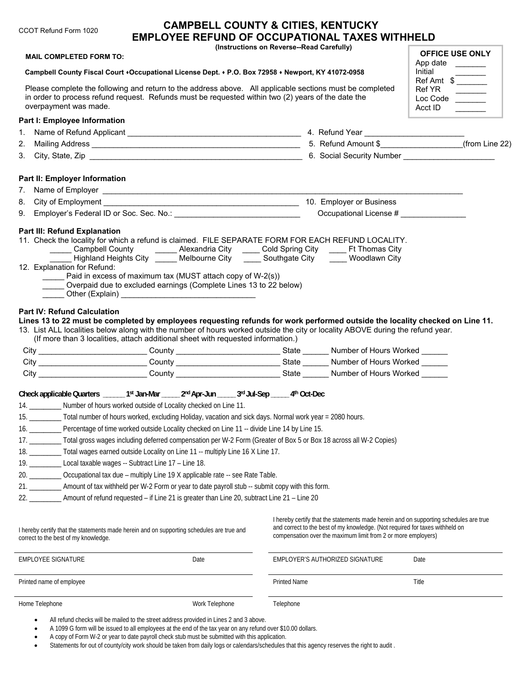| <b>MAIL COMPLETED FORM TO:</b>                                                                          |                                                                                                                                                                                                                |      | (Instructions on Reverse--Read Carefully) | <b>EMPLOYEE REFUND OF OCCUPATIONAL TAXES WITHHELD</b>                                                                                                                                                                                                                                             | <b>OFFICE USE ONLY</b>                                                                                                       |
|---------------------------------------------------------------------------------------------------------|----------------------------------------------------------------------------------------------------------------------------------------------------------------------------------------------------------------|------|-------------------------------------------|---------------------------------------------------------------------------------------------------------------------------------------------------------------------------------------------------------------------------------------------------------------------------------------------------|------------------------------------------------------------------------------------------------------------------------------|
|                                                                                                         |                                                                                                                                                                                                                |      |                                           |                                                                                                                                                                                                                                                                                                   | App date                                                                                                                     |
|                                                                                                         | Campbell County Fiscal Court +Occupational License Dept. + P.O. Box 72958 + Newport, KY 41072-0958                                                                                                             |      |                                           |                                                                                                                                                                                                                                                                                                   | Initial<br>nitial<br>Ref Amt \$                                                                                              |
| overpayment was made.                                                                                   | Please complete the following and return to the address above. All applicable sections must be completed<br>in order to process refund request. Refunds must be requested within two (2) years of the date the |      |                                           |                                                                                                                                                                                                                                                                                                   | Ref YR<br>Loc Code<br>Acct ID                                                                                                |
| Part I: Employee Information                                                                            |                                                                                                                                                                                                                |      |                                           |                                                                                                                                                                                                                                                                                                   |                                                                                                                              |
| 1.                                                                                                      |                                                                                                                                                                                                                |      |                                           |                                                                                                                                                                                                                                                                                                   |                                                                                                                              |
| 2.                                                                                                      |                                                                                                                                                                                                                |      |                                           |                                                                                                                                                                                                                                                                                                   |                                                                                                                              |
|                                                                                                         |                                                                                                                                                                                                                |      |                                           |                                                                                                                                                                                                                                                                                                   |                                                                                                                              |
| Part II: Employer Information                                                                           |                                                                                                                                                                                                                |      |                                           |                                                                                                                                                                                                                                                                                                   |                                                                                                                              |
|                                                                                                         |                                                                                                                                                                                                                |      |                                           |                                                                                                                                                                                                                                                                                                   |                                                                                                                              |
|                                                                                                         |                                                                                                                                                                                                                |      |                                           |                                                                                                                                                                                                                                                                                                   |                                                                                                                              |
|                                                                                                         |                                                                                                                                                                                                                |      |                                           | Occupational License #                                                                                                                                                                                                                                                                            |                                                                                                                              |
| 12. Explanation for Refund:                                                                             | Paid in excess of maximum tax (MUST attach copy of W-2(s))                                                                                                                                                     |      |                                           | 11. Check the locality for which a refund is claimed. FILE SEPARATE FORM FOR EACH REFUND LOCALITY.<br>Campbell County _________ Alexandria City ______ Cold Spring City ______ Ft Thomas City<br>Highland Heights City <b>Channel Melbourne City Channel Southgate City Channel Woodlawn City</b> |                                                                                                                              |
|                                                                                                         | Overpaid due to excluded earnings (Complete Lines 13 to 22 below)                                                                                                                                              |      |                                           | 13. List ALL localities below along with the number of hours worked outside the city or locality ABOVE during the refund year.                                                                                                                                                                    | Lines 13 to 22 must be completed by employees requesting refunds for work performed outside the locality checked on Line 11. |
|                                                                                                         | (If more than 3 localities, attach additional sheet with requested information.)                                                                                                                               |      |                                           |                                                                                                                                                                                                                                                                                                   |                                                                                                                              |
|                                                                                                         |                                                                                                                                                                                                                |      |                                           | City ___________________________County _____________________________State _______ Number of Hours Worked ______                                                                                                                                                                                   |                                                                                                                              |
|                                                                                                         |                                                                                                                                                                                                                |      |                                           | City _____________________________County ____________________________State _______ Number of Hours Worked ______                                                                                                                                                                                  |                                                                                                                              |
|                                                                                                         |                                                                                                                                                                                                                |      |                                           | City City County County County State Number of Hours Worked                                                                                                                                                                                                                                       |                                                                                                                              |
|                                                                                                         | Check applicable Quarters _______ 1st Jan-Mar ______ 2nd Apr-Jun ______ 3rd Jul-Sep ______ 4th Oct-Dec                                                                                                         |      |                                           |                                                                                                                                                                                                                                                                                                   |                                                                                                                              |
|                                                                                                         | 14. __________ Number of hours worked outside of Locality checked on Line 11.                                                                                                                                  |      |                                           |                                                                                                                                                                                                                                                                                                   |                                                                                                                              |
|                                                                                                         | 15. _________ Total number of hours worked, excluding Holiday, vacation and sick days. Normal work year = 2080 hours.                                                                                          |      |                                           |                                                                                                                                                                                                                                                                                                   |                                                                                                                              |
|                                                                                                         | 16. Percentage of time worked outside Locality checked on Line 11 -- divide Line 14 by Line 15.                                                                                                                |      |                                           |                                                                                                                                                                                                                                                                                                   |                                                                                                                              |
|                                                                                                         | 17. _________ Total gross wages including deferred compensation per W-2 Form (Greater of Box 5 or Box 18 across all W-2 Copies)                                                                                |      |                                           |                                                                                                                                                                                                                                                                                                   |                                                                                                                              |
|                                                                                                         | 18. __________ Total wages earned outside Locality on Line 11 -- multiply Line 16 X Line 17.                                                                                                                   |      |                                           |                                                                                                                                                                                                                                                                                                   |                                                                                                                              |
|                                                                                                         | 19. ____________ Local taxable wages -- Subtract Line 17 - Line 18.                                                                                                                                            |      |                                           |                                                                                                                                                                                                                                                                                                   |                                                                                                                              |
|                                                                                                         | 20. ___________ Occupational tax due - multiply Line 19 X applicable rate -- see Rate Table.                                                                                                                   |      |                                           |                                                                                                                                                                                                                                                                                                   |                                                                                                                              |
|                                                                                                         | 21. ____________ Amount of tax withheld per W-2 Form or year to date payroll stub -- submit copy with this form.                                                                                               |      |                                           |                                                                                                                                                                                                                                                                                                   |                                                                                                                              |
|                                                                                                         | 22. ___________ Amount of refund requested - if Line 21 is greater than Line 20, subtract Line 21 - Line 20                                                                                                    |      |                                           |                                                                                                                                                                                                                                                                                                   |                                                                                                                              |
|                                                                                                         | I hereby certify that the statements made herein and on supporting schedules are true and                                                                                                                      |      |                                           | and correct to the best of my knowledge. (Not required for taxes withheld on<br>compensation over the maximum limit from 2 or more employers)                                                                                                                                                     | I hereby certify that the statements made herein and on supporting schedules are true                                        |
| <b>Part IV: Refund Calculation</b><br>correct to the best of my knowledge.<br><b>EMPLOYEE SIGNATURE</b> |                                                                                                                                                                                                                | Date |                                           | EMPLOYER'S AUTHORIZED SIGNATURE                                                                                                                                                                                                                                                                   | Date                                                                                                                         |

All refund checks will be mailed to the street address provided in Lines 2 and 3 above.

A 1099 G form will be issued to all employees at the end of the tax year on any refund over \$10.00 dollars.

A copy of Form W-2 or year to date payroll check stub must be submitted with this application.

. Statements for out of county/city work should be taken from daily logs or calendars/schedules that this agency reserves the right to audit .